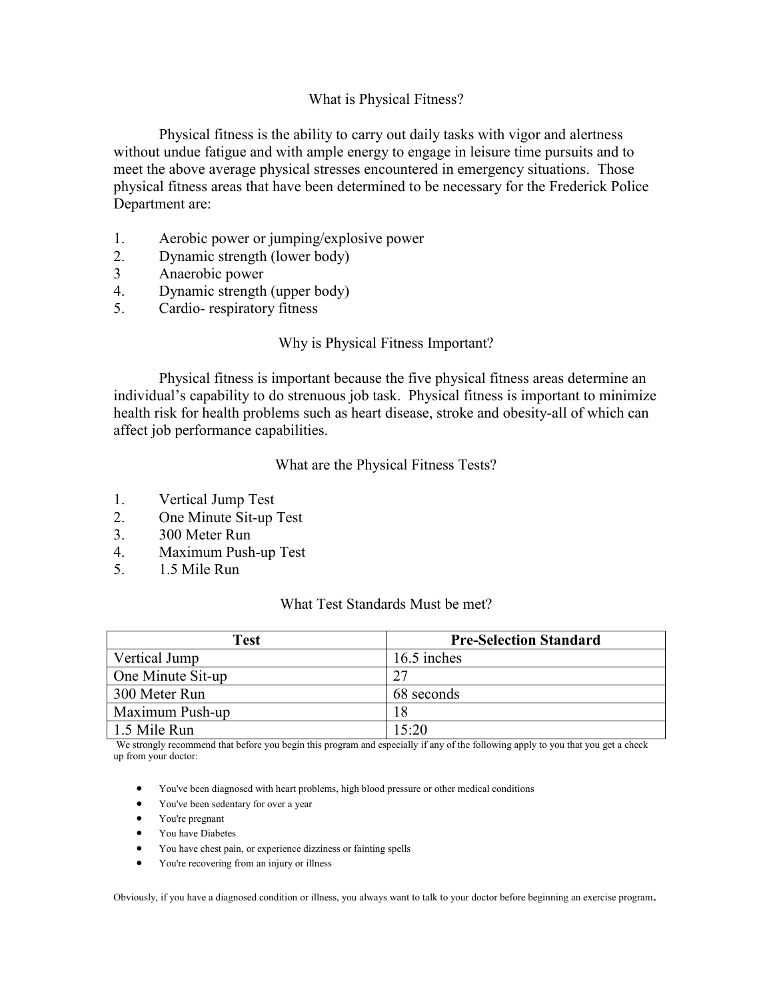#### What is Physical Fitness?

 Physical fitness is the ability to carry out daily tasks with vigor and alertness without undue fatigue and with ample energy to engage in leisure time pursuits and to meet the above average physical stresses encountered in emergency situations. Those physical fitness areas that have been determined to be necessary for the Frederick Police Department are:

- 1. Aerobic power or jumping/explosive power
- 2. Dynamic strength (lower body)
- 3 Anaerobic power
- 4. Dynamic strength (upper body)
- 5. Cardio- respiratory fitness

#### Why is Physical Fitness Important?

 Physical fitness is important because the five physical fitness areas determine an individual's capability to do strenuous job task. Physical fitness is important to minimize health risk for health problems such as heart disease, stroke and obesity-all of which can affect job performance capabilities.

#### What are the Physical Fitness Tests?

- 1. Vertical Jump Test
- 2. One Minute Sit-up Test
- 3. 300 Meter Run
- 4. Maximum Push-up Test
- 5. 1.5 Mile Run

#### What Test Standards Must be met?

| <b>Test</b>       | <b>Pre-Selection Standard</b> |  |  |
|-------------------|-------------------------------|--|--|
| Vertical Jump     | 16.5 inches                   |  |  |
| One Minute Sit-up | 27                            |  |  |
| 300 Meter Run     | 68 seconds                    |  |  |
| Maximum Push-up   | 18                            |  |  |
| 1.5 Mile Run      | 15:20                         |  |  |

We strongly recommend that before you begin this program and especially if any of the following apply to you that you get a check up from your doctor:

- You've been diagnosed with heart problems, high blood pressure or other medical conditions
- You've been sedentary for over a year
- You're pregnant
- You have Diabetes
- You have chest pain, or experience dizziness or fainting spells
- You're recovering from an injury or illness

Obviously, if you have a diagnosed condition or illness, you always want to talk to your doctor before beginning an exercise program.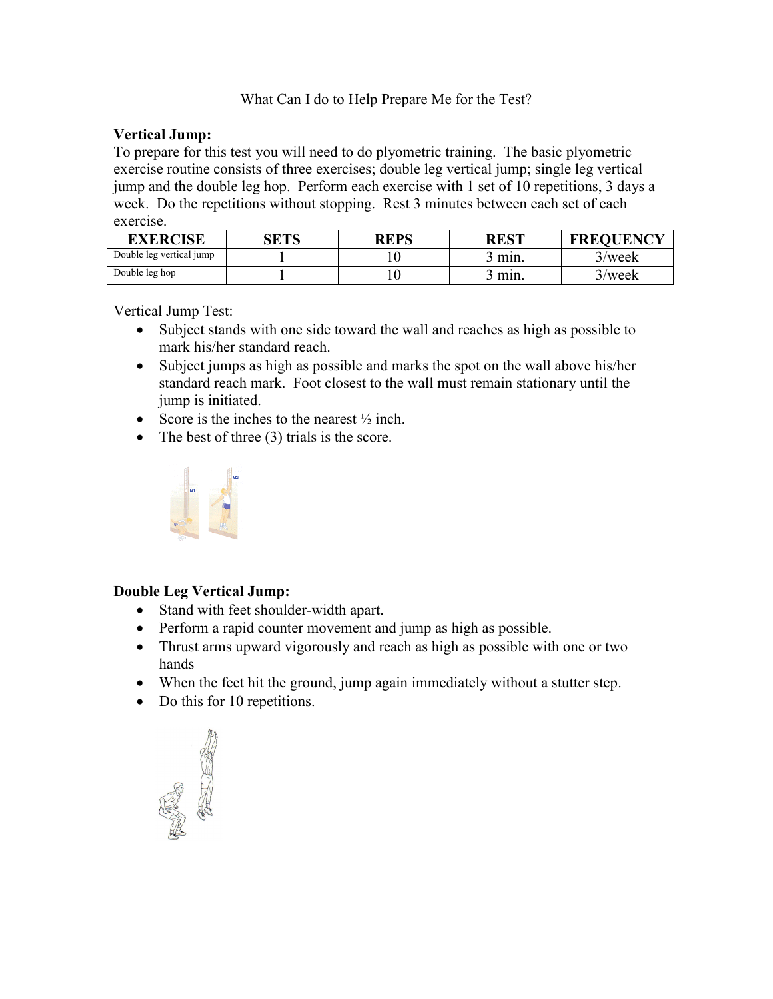# What Can I do to Help Prepare Me for the Test?

## Vertical Jump:

To prepare for this test you will need to do plyometric training. The basic plyometric exercise routine consists of three exercises; double leg vertical jump; single leg vertical jump and the double leg hop. Perform each exercise with 1 set of 10 repetitions, 3 days a week. Do the repetitions without stopping. Rest 3 minutes between each set of each exercise.

| <b>EXERCISE</b>          | arro | <b>REPS</b> | <b>REST</b> | <b>FREQUENCY</b> |
|--------------------------|------|-------------|-------------|------------------|
| Double leg vertical jump |      | ν           | min.        | 3/week           |
| Double leg hop           |      | ιv          | min.        | week             |

Vertical Jump Test:

- Subject stands with one side toward the wall and reaches as high as possible to mark his/her standard reach.
- Subject jumps as high as possible and marks the spot on the wall above his/her standard reach mark. Foot closest to the wall must remain stationary until the jump is initiated.
- Score is the inches to the nearest  $\frac{1}{2}$  inch.
- The best of three (3) trials is the score.



# Double Leg Vertical Jump:

- Stand with feet shoulder-width apart.
- Perform a rapid counter movement and jump as high as possible.
- Thrust arms upward vigorously and reach as high as possible with one or two hands
- When the feet hit the ground, jump again immediately without a stutter step.
- Do this for 10 repetitions.

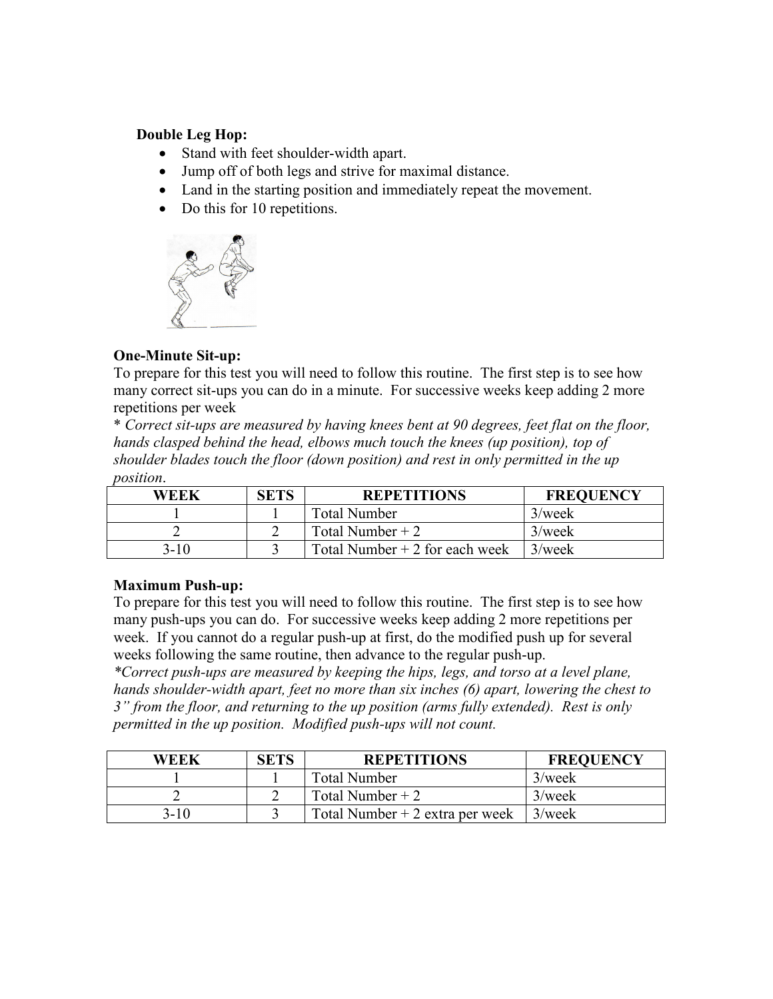### Double Leg Hop:

- Stand with feet shoulder-width apart.
- Jump off of both legs and strive for maximal distance.
- Land in the starting position and immediately repeat the movement.
- Do this for 10 repetitions.



## One-Minute Sit-up:

To prepare for this test you will need to follow this routine. The first step is to see how many correct sit-ups you can do in a minute. For successive weeks keep adding 2 more repetitions per week

\* Correct sit-ups are measured by having knees bent at 90 degrees, feet flat on the floor, hands clasped behind the head, elbows much touch the knees (up position), top of shoulder blades touch the floor (down position) and rest in only permitted in the up position.

| WEEK   | <b>SETS</b> | <b>REPETITIONS</b>              | <b>FREQUENCY</b> |
|--------|-------------|---------------------------------|------------------|
|        |             | <b>Total Number</b>             | $3$ /week        |
|        |             | Total Number $+2$               | $3$ /week        |
| $3-10$ |             | Total Number $+2$ for each week | $3$ /week        |

# Maximum Push-up:

To prepare for this test you will need to follow this routine. The first step is to see how many push-ups you can do. For successive weeks keep adding 2 more repetitions per week. If you cannot do a regular push-up at first, do the modified push up for several weeks following the same routine, then advance to the regular push-up.

\*Correct push-ups are measured by keeping the hips, legs, and torso at a level plane, hands shoulder-width apart, feet no more than six inches (6) apart, lowering the chest to 3" from the floor, and returning to the up position (arms fully extended). Rest is only permitted in the up position. Modified push-ups will not count.

| WEEK | <b>SETS</b> | <b>REPETITIONS</b>               | <b>FREQUENCY</b> |
|------|-------------|----------------------------------|------------------|
|      |             | <b>Total Number</b>              | $3$ /week        |
|      |             | Total Number $+2$                | $3$ /week        |
| 3-10 |             | Total Number $+2$ extra per week | $3$ /week        |